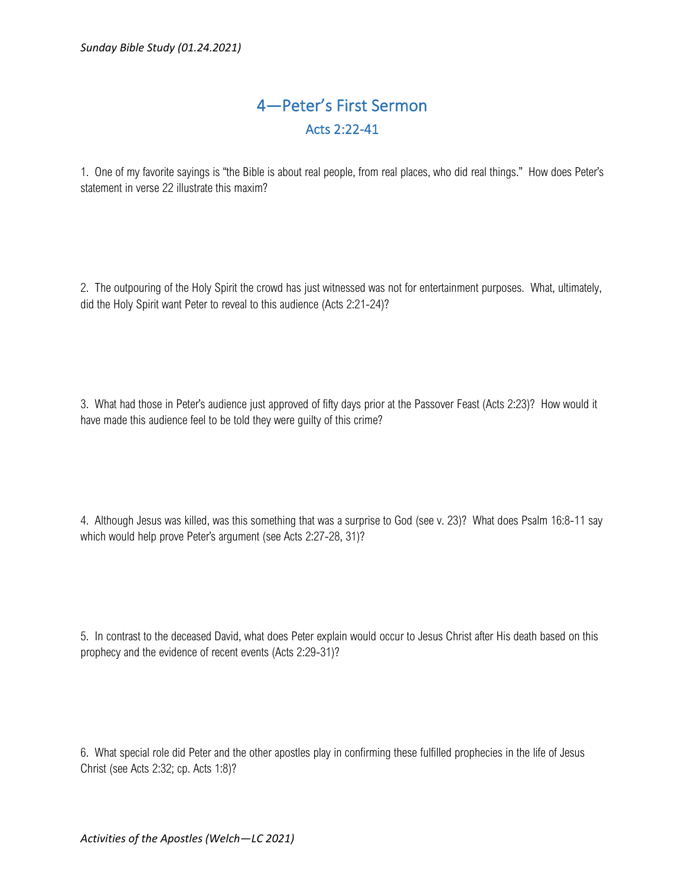## 4—Peter's First Sermon Acts 2:22-41

1. One of my favorite sayings is "the Bible is about real people, from real places, who did real things." How does Peter's statement in verse 22 illustrate this maxim?

2. The outpouring of the Holy Spirit the crowd has just witnessed was not for entertainment purposes. What, ultimately, did the Holy Spirit want Peter to reveal to this audience (Acts 2:21-24)?

3. What had those in Peter's audience just approved of fifty days prior at the Passover Feast (Acts 2:23)? How would it have made this audience feel to be told they were guilty of this crime?

4. Although Jesus was killed, was this something that was a surprise to God (see v. 23)? What does Psalm 16:8-11 say which would help prove Peter's argument (see Acts 2:27-28, 31)?

5. In contrast to the deceased David, what does Peter explain would occur to Jesus Christ after His death based on this prophecy and the evidence of recent events (Acts 2:29-31)?

6. What special role did Peter and the other apostles play in confirming these fulfilled prophecies in the life of Jesus Christ (see Acts 2:32; cp. Acts 1:8)?

*Activities of the Apostles (Welch—LC 2021)*